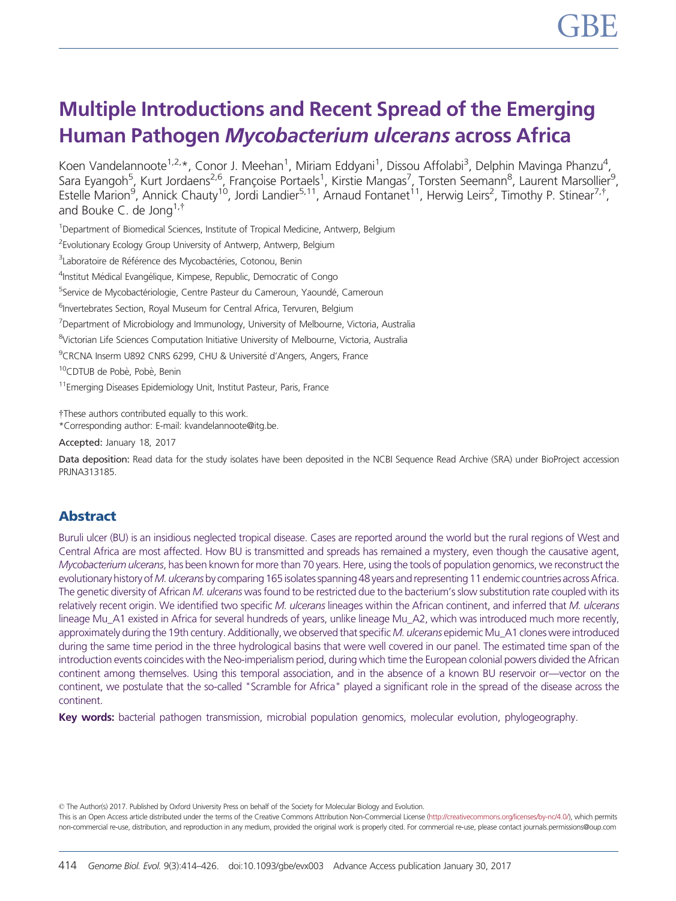# Multiple Introductions and Recent Spread of the Emerging Human Pathogen Mycobacterium ulcerans across Africa

Koen Vandelannoote<sup>1,2,</sup>\*, Conor J. Meehan<sup>1</sup>, Miriam Eddyani<sup>1</sup>, Dissou Affolabi<sup>3</sup>, Delphin Mavinga Phanzu<sup>4</sup>, Sara Eyangoh<sup>5</sup>, Kurt Jordaens<sup>2,6</sup>, Françoise Portaels<sup>1</sup>, Kirstie Mangas<sup>7</sup>, Torsten Seemann<sup>8</sup>, Laurent Marsollier<sup>9</sup>, Estelle Marion<sup>9</sup>, Annick Chauty<sup>10</sup>, Jordi Landier<sup>5,11</sup>, Arnaud Fontanet<sup>11</sup>, Herwig Leirs<sup>2</sup>, Timothy P. Stinear<sup>7,†</sup>, and Bouke C. de Jona $1.1$ 

<sup>1</sup>Department of Biomedical Sciences, Institute of Tropical Medicine, Antwerp, Belgium

<sup>2</sup> Evolutionary Ecology Group University of Antwerp, Antwerp, Belgium

<sup>3</sup>Laboratoire de Référence des Mycobactéries, Cotonou, Benin

<sup>4</sup>Institut Médical Evangélique, Kimpese, Republic, Democratic of Congo

<sup>5</sup>Service de Mycobactériologie, Centre Pasteur du Cameroun, Yaoundé, Cameroun

<sup>6</sup>Invertebrates Section, Royal Museum for Central Africa, Tervuren, Belgium

<sup>7</sup>Department of Microbiology and Immunology, University of Melbourne, Victoria, Australia

<sup>8</sup>Victorian Life Sciences Computation Initiative University of Melbourne, Victoria, Australia

<sup>9</sup>CRCNA Inserm U892 CNRS 6299, CHU & Université d'Angers, Angers, France

<sup>10</sup>CDTUB de Pobè, Pobè, Benin

<sup>11</sup>Emerging Diseases Epidemiology Unit, Institut Pasteur, Paris, France

tThese authors contributed equally to this work.

\*Corresponding author: E-mail: kvandelannoote@itg.be.

Accepted: January 18, 2017

Data deposition: Read data for the study isolates have been deposited in the NCBI Sequence Read Archive (SRA) under BioProject accession PRJNA313185.

# Abstract

Buruli ulcer (BU) is an insidious neglected tropical disease. Cases are reported around the world but the rural regions of West and Central Africa are most affected. How BU is transmitted and spreads has remained a mystery, even though the causative agent, Mycobacterium ulcerans, has been known for more than 70 years. Here, using the tools of population genomics, we reconstruct the evolutionary history of M. ulcerans by comparing 165 isolates spanning 48 years and representing 11 endemic countries across Africa. The genetic diversity of African M. ulcerans was found to be restricted due to the bacterium's slow substitution rate coupled with its relatively recent origin. We identified two specific M. ulcerans lineages within the African continent, and inferred that M. ulcerans lineage Mu\_A1 existed in Africa for several hundreds of years, unlike lineage Mu\_A2, which was introduced much more recently, approximately during the 19th century. Additionally, we observed that specific M. ulcerans epidemic Mu\_A1 clones were introduced during the same time period in the three hydrological basins that were well covered in our panel. The estimated time span of the introduction events coincides with the Neo-imperialism period, during which time the European colonial powers divided the African continent among themselves. Using this temporal association, and in the absence of a known BU reservoir or—vector on the continent, we postulate that the so-called "Scramble for Africa" played a significant role in the spread of the disease across the continent.

Key words: bacterial pathogen transmission, microbial population genomics, molecular evolution, phylogeography.

© The Author(s) 2017. Published by Oxford University Press on behalf of the Society for Molecular Biology and Evolution.

This is an Open Access article distributed under the terms of the Creative Commons Attribution Non-Commercial License [\(http://creativecommons.org/licenses/by-nc/4.0/](http://creativecommons.org/licenses/by-nc/4.0/)), which permits non-commercial re-use, distribution, and reproduction in any medium, provided the original work is properly cited. For commercial re-use, please contact journals.permissions@oup.com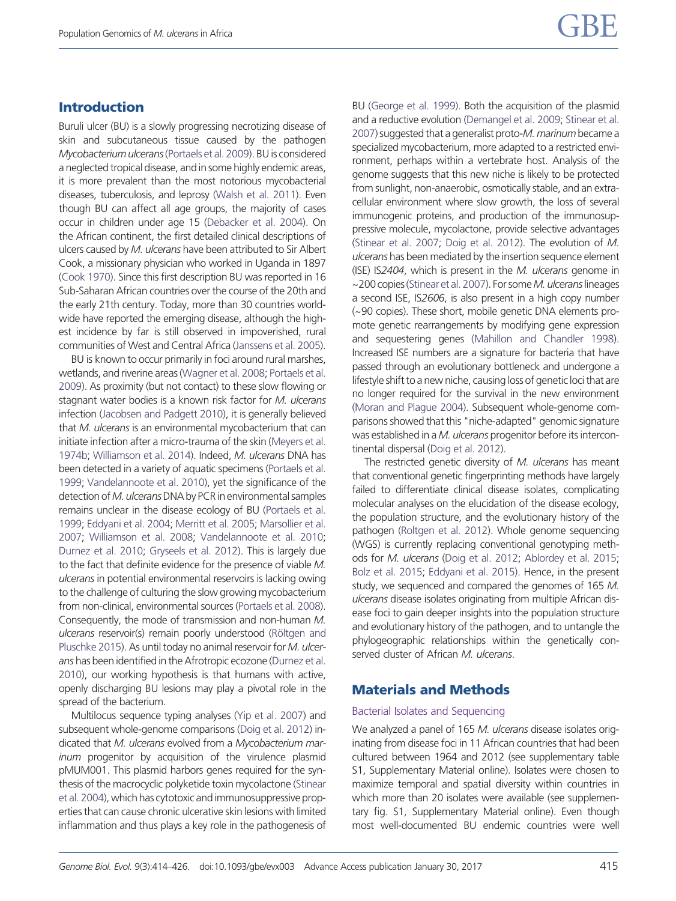## Introduction

Buruli ulcer (BU) is a slowly progressing necrotizing disease of skin and subcutaneous tissue caused by the pathogen Mycobacterium ulcerans[\(Portaels et al. 2009](#page-12-0)). BU is considered a neglected tropical disease, and in some highly endemic areas, it is more prevalent than the most notorious mycobacterial diseases, tuberculosis, and leprosy [\(Walsh et al. 2011\)](#page-12-0). Even though BU can affect all age groups, the majority of cases occur in children under age 15 [\(Debacker et al. 2004\)](#page-11-0). On the African continent, the first detailed clinical descriptions of ulcers caused by M. ulcerans have been attributed to Sir Albert Cook, a missionary physician who worked in Uganda in 1897 [\(Cook 1970](#page-11-0)). Since this first description BU was reported in 16 Sub-Saharan African countries over the course of the 20th and the early 21th century. Today, more than 30 countries worldwide have reported the emerging disease, although the highest incidence by far is still observed in impoverished, rural communities of West and Central Africa ([Janssens et al. 2005](#page-11-0)).

BU is known to occur primarily in foci around rural marshes, wetlands, and riverine areas ([Wagner et al. 2008](#page-12-0); [Portaels et al.](#page-12-0) [2009\)](#page-12-0). As proximity (but not contact) to these slow flowing or stagnant water bodies is a known risk factor for M. ulcerans infection [\(Jacobsen and Padgett 2010](#page-11-0)), it is generally believed that  $M$ . ulcerans is an environmental mycobacterium that can initiate infection after a micro-trauma of the skin [\(Meyers et al.](#page-12-0) [1974b;](#page-12-0) [Williamson et al. 2014\)](#page-12-0). Indeed, M. ulcerans DNA has been detected in a variety of aquatic specimens ([Portaels et al.](#page-12-0) [1999;](#page-12-0) [Vandelannoote et al. 2010](#page-12-0)), yet the significance of the detection of M. ulcerans DNA by PCR in environmental samples remains unclear in the disease ecology of BU [\(Portaels et al.](#page-12-0) [1999;](#page-12-0) [Eddyani et al. 2004;](#page-11-0) [Merritt et al. 2005](#page-11-0); [Marsollier et al.](#page-11-0) [2007;](#page-11-0) [Williamson et al. 2008;](#page-12-0) [Vandelannoote et al. 2010;](#page-12-0) [Durnez et al. 2010;](#page-11-0) [Gryseels et al. 2012](#page-11-0)). This is largely due to the fact that definite evidence for the presence of viable M. ulcerans in potential environmental reservoirs is lacking owing to the challenge of culturing the slow growing mycobacterium from non-clinical, environmental sources [\(Portaels et al. 2008](#page-12-0)). Consequently, the mode of transmission and non-human M. ulcerans reservoir(s) remain poorly understood (Rö[ltgen and](#page-12-0) [Pluschke 2015\)](#page-12-0). As until today no animal reservoir for M. ulcerans has been identified in the Afrotropic ecozone ([Durnez et al.](#page-11-0) [2010\)](#page-11-0), our working hypothesis is that humans with active, openly discharging BU lesions may play a pivotal role in the spread of the bacterium.

Multilocus sequence typing analyses [\(Yip et al. 2007](#page-12-0)) and subsequent whole-genome comparisons ([Doig et al. 2012\)](#page-11-0) indicated that M. ulcerans evolved from a Mycobacterium marinum progenitor by acquisition of the virulence plasmid pMUM001. This plasmid harbors genes required for the synthesis of the macrocyclic polyketide toxin mycolactone [\(Stinear](#page-12-0) [et al. 2004](#page-12-0)), which has cytotoxic and immunosuppressive properties that can cause chronic ulcerative skin lesions with limited inflammation and thus plays a key role in the pathogenesis of BU [\(George et al. 1999](#page-11-0)). Both the acquisition of the plasmid and a reductive evolution [\(Demangel et al. 2009;](#page-11-0) [Stinear et al.](#page-12-0) [2007](#page-12-0)) suggested that a generalist proto-M. marinum became a specialized mycobacterium, more adapted to a restricted environment, perhaps within a vertebrate host. Analysis of the genome suggests that this new niche is likely to be protected from sunlight, non-anaerobic, osmotically stable, and an extracellular environment where slow growth, the loss of several immunogenic proteins, and production of the immunosuppressive molecule, mycolactone, provide selective advantages ([Stinear et al. 2007;](#page-12-0) [Doig et al. 2012](#page-11-0)). The evolution of M. ulcerans has been mediated by the insertion sequence element (ISE) IS2404, which is present in the M. ulcerans genome in ~200 copies (Stinear et al. 2007). For some M. ulcerans lineages a second ISE, IS2606, is also present in a high copy number (~90 copies). These short, mobile genetic DNA elements promote genetic rearrangements by modifying gene expression and sequestering genes [\(Mahillon and Chandler 1998\)](#page-11-0). Increased ISE numbers are a signature for bacteria that have passed through an evolutionary bottleneck and undergone a lifestyle shift to a new niche, causing loss of genetic loci that are no longer required for the survival in the new environment ([Moran and Plague 2004](#page-12-0)). Subsequent whole-genome comparisons showed that this "niche-adapted" genomic signature was established in a M. ulcerans progenitor before its intercontinental dispersal [\(Doig et al. 2012](#page-11-0)).

The restricted genetic diversity of M. ulcerans has meant that conventional genetic fingerprinting methods have largely failed to differentiate clinical disease isolates, complicating molecular analyses on the elucidation of the disease ecology, the population structure, and the evolutionary history of the pathogen [\(Roltgen et al. 2012\)](#page-12-0). Whole genome sequencing (WGS) is currently replacing conventional genotyping methods for M. ulcerans [\(Doig et al. 2012;](#page-11-0) [Ablordey et al. 2015](#page-11-0); [Bolz et al. 2015](#page-11-0); [Eddyani et al. 2015\)](#page-11-0). Hence, in the present study, we sequenced and compared the genomes of 165 M. ulcerans disease isolates originating from multiple African disease foci to gain deeper insights into the population structure and evolutionary history of the pathogen, and to untangle the phylogeographic relationships within the genetically conserved cluster of African M. ulcerans.

# Materials and Methods

#### Bacterial Isolates and Sequencing

We analyzed a panel of 165 M. ulcerans disease isolates originating from disease foci in 11 African countries that had been cultured between 1964 and 2012 (see supplementary table S1, Supplementary Material online). Isolates were chosen to maximize temporal and spatial diversity within countries in which more than 20 isolates were available (see supplementary fig. S1, Supplementary Material online). Even though most well-documented BU endemic countries were well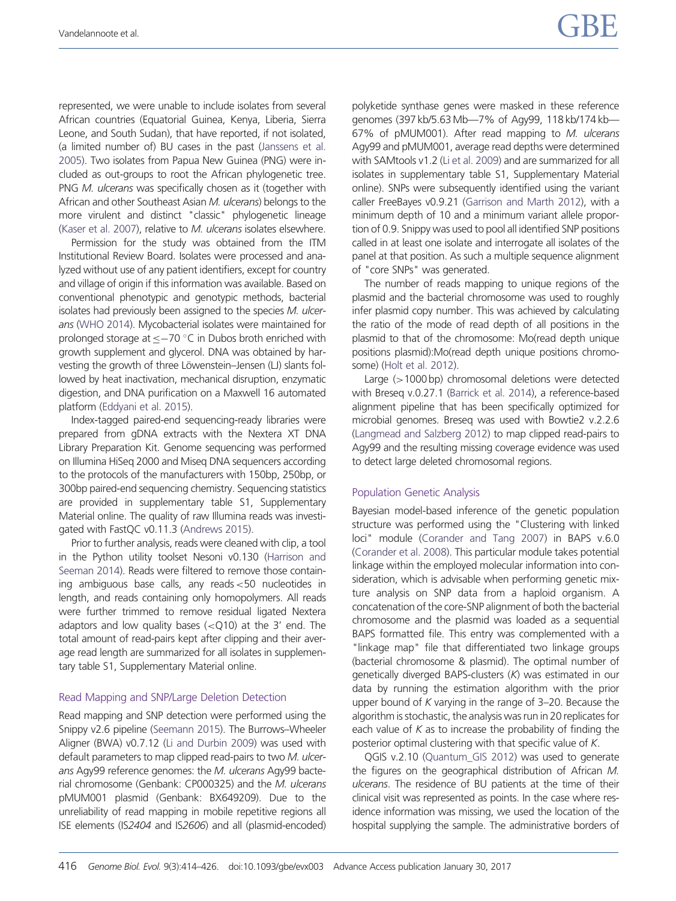represented, we were unable to include isolates from several African countries (Equatorial Guinea, Kenya, Liberia, Sierra Leone, and South Sudan), that have reported, if not isolated, (a limited number of) BU cases in the past [\(Janssens et al.](#page-11-0) [2005\)](#page-11-0). Two isolates from Papua New Guinea (PNG) were included as out-groups to root the African phylogenetic tree. PNG M. ulcerans was specifically chosen as it (together with African and other Southeast Asian M. ulcerans) belongs to the more virulent and distinct "classic" phylogenetic lineage [\(Kaser et al. 2007](#page-11-0)), relative to M. ulcerans isolates elsewhere.

Permission for the study was obtained from the ITM Institutional Review Board. Isolates were processed and analyzed without use of any patient identifiers, except for country and village of origin if this information was available. Based on conventional phenotypic and genotypic methods, bacterial isolates had previously been assigned to the species M. ulcerans [\(WHO 2014](#page-12-0)). Mycobacterial isolates were maintained for prolonged storage at  $\leq -70$  °C in Dubos broth enriched with growth supplement and glycerol. DNA was obtained by harvesting the growth of three Löwenstein–Jensen (LJ) slants followed by heat inactivation, mechanical disruption, enzymatic digestion, and DNA purification on a Maxwell 16 automated platform [\(Eddyani et al. 2015](#page-11-0)).

Index-tagged paired-end sequencing-ready libraries were prepared from gDNA extracts with the Nextera XT DNA Library Preparation Kit. Genome sequencing was performed on Illumina HiSeq 2000 and Miseq DNA sequencers according to the protocols of the manufacturers with 150bp, 250bp, or 300bp paired-end sequencing chemistry. Sequencing statistics are provided in supplementary table S1, Supplementary Material online. The quality of raw Illumina reads was investigated with FastQC v0.11.3 ([Andrews 2015\)](#page-11-0).

Prior to further analysis, reads were cleaned with clip, a tool in the Python utility toolset Nesoni v0.130 ([Harrison and](#page-11-0) [Seeman 2014](#page-11-0)). Reads were filtered to remove those containing ambiguous base calls, any reads<50 nucleotides in length, and reads containing only homopolymers. All reads were further trimmed to remove residual ligated Nextera adaptors and low quality bases  $( $Q10$ )$  at the 3' end. The total amount of read-pairs kept after clipping and their average read length are summarized for all isolates in supplementary table S1, Supplementary Material online.

#### Read Mapping and SNP/Large Deletion Detection

Read mapping and SNP detection were performed using the Snippy v2.6 pipeline [\(Seemann 2015\)](#page-12-0). The Burrows–Wheeler Aligner (BWA) v0.7.12 [\(Li and Durbin 2009\)](#page-11-0) was used with default parameters to map clipped read-pairs to two M. ulcerans Agy99 reference genomes: the M. ulcerans Agy99 bacterial chromosome (Genbank: CP000325) and the M. ulcerans pMUM001 plasmid (Genbank: BX649209). Due to the unreliability of read mapping in mobile repetitive regions all ISE elements (IS2404 and IS2606) and all (plasmid-encoded) polyketide synthase genes were masked in these reference genomes (397 kb/5.63 Mb—7% of Agy99, 118 kb/174 kb— 67% of pMUM001). After read mapping to M. ulcerans Agy99 and pMUM001, average read depths were determined with SAMtools v1.2 [\(Li et al. 2009](#page-11-0)) and are summarized for all isolates in supplementary table S1, Supplementary Material online). SNPs were subsequently identified using the variant caller FreeBayes v0.9.21 [\(Garrison and Marth 2012\)](#page-11-0), with a minimum depth of 10 and a minimum variant allele proportion of 0.9. Snippy was used to pool all identified SNP positions called in at least one isolate and interrogate all isolates of the panel at that position. As such a multiple sequence alignment of "core SNPs" was generated.

The number of reads mapping to unique regions of the plasmid and the bacterial chromosome was used to roughly infer plasmid copy number. This was achieved by calculating the ratio of the mode of read depth of all positions in the plasmid to that of the chromosome: Mo(read depth unique positions plasmid):Mo(read depth unique positions chromosome) [\(Holt et al. 2012\)](#page-11-0).

Large (>1000 bp) chromosomal deletions were detected with Breseq v.0.27.1 [\(Barrick et al. 2014](#page-11-0)), a reference-based alignment pipeline that has been specifically optimized for microbial genomes. Breseq was used with Bowtie2 v.2.2.6 ([Langmead and Salzberg 2012\)](#page-11-0) to map clipped read-pairs to Agy99 and the resulting missing coverage evidence was used to detect large deleted chromosomal regions.

#### Population Genetic Analysis

Bayesian model-based inference of the genetic population structure was performed using the "Clustering with linked loci" module ([Corander and Tang 2007\)](#page-11-0) in BAPS v.6.0 ([Corander et al. 2008\)](#page-11-0). This particular module takes potential linkage within the employed molecular information into consideration, which is advisable when performing genetic mixture analysis on SNP data from a haploid organism. A concatenation of the core-SNP alignment of both the bacterial chromosome and the plasmid was loaded as a sequential BAPS formatted file. This entry was complemented with a "linkage map" file that differentiated two linkage groups (bacterial chromosome & plasmid). The optimal number of genetically diverged BAPS-clusters (K) was estimated in our data by running the estimation algorithm with the prior upper bound of K varying in the range of 3–20. Because the algorithm is stochastic, the analysis was run in 20 replicates for each value of  $K$  as to increase the probability of finding the posterior optimal clustering with that specific value of K.

QGIS v.2.10 [\(Quantum\\_GIS 2012](#page-12-0)) was used to generate the figures on the geographical distribution of African M. ulcerans. The residence of BU patients at the time of their clinical visit was represented as points. In the case where residence information was missing, we used the location of the hospital supplying the sample. The administrative borders of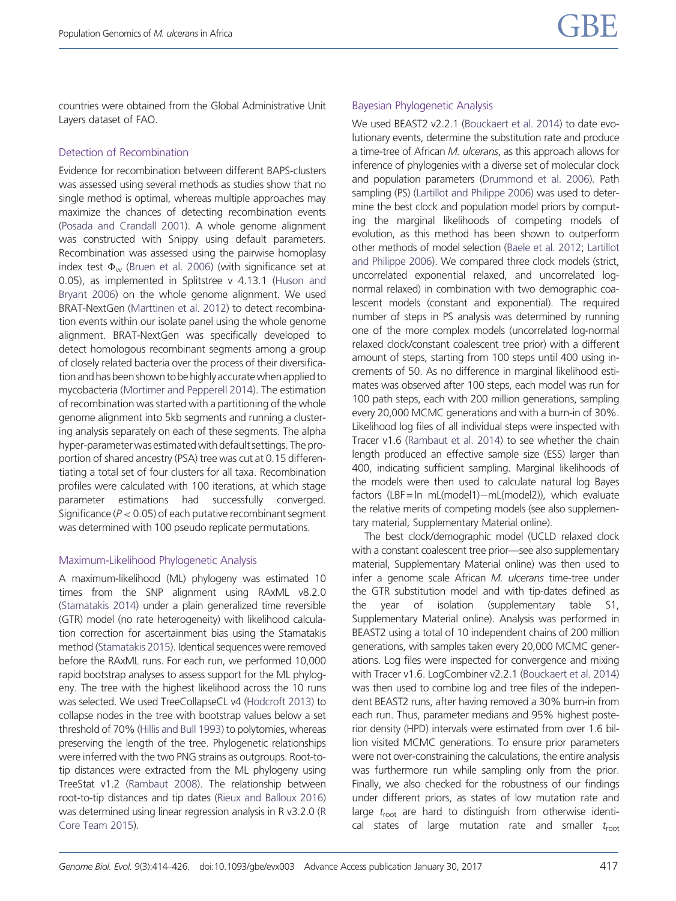countries were obtained from the Global Administrative Unit Layers dataset of FAO.

## Detection of Recombination

Evidence for recombination between different BAPS-clusters was assessed using several methods as studies show that no single method is optimal, whereas multiple approaches may maximize the chances of detecting recombination events [\(Posada and Crandall 2001\)](#page-12-0). A whole genome alignment was constructed with Snippy using default parameters. Recombination was assessed using the pairwise homoplasy index test  $\Phi_{\scriptscriptstyle{\mathrm{W}}}$  [\(Bruen et al. 2006](#page-11-0)) (with significance set at 0.05), as implemented in Splitstree v 4.13.1 ([Huson and](#page-11-0) [Bryant 2006](#page-11-0)) on the whole genome alignment. We used BRAT-NextGen [\(Marttinen et al. 2012](#page-11-0)) to detect recombination events within our isolate panel using the whole genome alignment. BRAT-NextGen was specifically developed to detect homologous recombinant segments among a group of closely related bacteria over the process of their diversification and has been shown to be highly accurate when applied to mycobacteria ([Mortimer and Pepperell 2014\)](#page-12-0). The estimation of recombination was started with a partitioning of the whole genome alignment into 5kb segments and running a clustering analysis separately on each of these segments. The alpha hyper-parameter was estimated with default settings. The proportion of shared ancestry (PSA) tree was cut at 0.15 differentiating a total set of four clusters for all taxa. Recombination profiles were calculated with 100 iterations, at which stage parameter estimations had successfully converged. Significance ( $P < 0.05$ ) of each putative recombinant segment was determined with 100 pseudo replicate permutations.

#### Maximum-Likelihood Phylogenetic Analysis

A maximum-likelihood (ML) phylogeny was estimated 10 times from the SNP alignment using RAxML v8.2.0 [\(Stamatakis 2014\)](#page-12-0) under a plain generalized time reversible (GTR) model (no rate heterogeneity) with likelihood calculation correction for ascertainment bias using the Stamatakis method [\(Stamatakis 2015](#page-12-0)). Identical sequences were removed before the RAxML runs. For each run, we performed 10,000 rapid bootstrap analyses to assess support for the ML phylogeny. The tree with the highest likelihood across the 10 runs was selected. We used TreeCollapseCL v4 ([Hodcroft 2013](#page-11-0)) to collapse nodes in the tree with bootstrap values below a set threshold of 70% [\(Hillis and Bull 1993\)](#page-11-0) to polytomies, whereas preserving the length of the tree. Phylogenetic relationships were inferred with the two PNG strains as outgroups. Root-totip distances were extracted from the ML phylogeny using TreeStat v1.2 [\(Rambaut 2008\)](#page-12-0). The relationship between root-to-tip distances and tip dates ([Rieux and Balloux 2016\)](#page-12-0) was determined using linear regression analysis in R v3.2.0 [\(R](#page-12-0) [Core Team 2015\)](#page-12-0).

## Bayesian Phylogenetic Analysis

We used BEAST2 v2.2.1 [\(Bouckaert et al. 2014](#page-11-0)) to date evolutionary events, determine the substitution rate and produce a time-tree of African M. ulcerans, as this approach allows for inference of phylogenies with a diverse set of molecular clock and population parameters [\(Drummond et al. 2006](#page-11-0)). Path sampling (PS) [\(Lartillot and Philippe 2006\)](#page-11-0) was used to determine the best clock and population model priors by computing the marginal likelihoods of competing models of evolution, as this method has been shown to outperform other methods of model selection ([Baele et al. 2012](#page-11-0); [Lartillot](#page-11-0) [and Philippe 2006\)](#page-11-0). We compared three clock models (strict, uncorrelated exponential relaxed, and uncorrelated lognormal relaxed) in combination with two demographic coalescent models (constant and exponential). The required number of steps in PS analysis was determined by running one of the more complex models (uncorrelated log-normal relaxed clock/constant coalescent tree prior) with a different amount of steps, starting from 100 steps until 400 using increments of 50. As no difference in marginal likelihood estimates was observed after 100 steps, each model was run for 100 path steps, each with 200 million generations, sampling every 20,000 MCMC generations and with a burn-in of 30%. Likelihood log files of all individual steps were inspected with Tracer v1.6 ([Rambaut et al. 2014\)](#page-12-0) to see whether the chain length produced an effective sample size (ESS) larger than 400, indicating sufficient sampling. Marginal likelihoods of the models were then used to calculate natural log Bayes factors (LBF =  $\ln$  mL(model1)-mL(model2)), which evaluate the relative merits of competing models (see also supplementary material, Supplementary Material online).

The best clock/demographic model (UCLD relaxed clock with a constant coalescent tree prior—see also supplementary material, Supplementary Material online) was then used to infer a genome scale African M. ulcerans time-tree under the GTR substitution model and with tip-dates defined as the year of isolation (supplementary table S1, Supplementary Material online). Analysis was performed in BEAST2 using a total of 10 independent chains of 200 million generations, with samples taken every 20,000 MCMC generations. Log files were inspected for convergence and mixing with Tracer v1.6. LogCombiner v2.2.1 [\(Bouckaert et al. 2014](#page-11-0)) was then used to combine log and tree files of the independent BEAST2 runs, after having removed a 30% burn-in from each run. Thus, parameter medians and 95% highest posterior density (HPD) intervals were estimated from over 1.6 billion visited MCMC generations. To ensure prior parameters were not over-constraining the calculations, the entire analysis was furthermore run while sampling only from the prior. Finally, we also checked for the robustness of our findings under different priors, as states of low mutation rate and large  $t_{\text{root}}$  are hard to distinguish from otherwise identical states of large mutation rate and smaller  $t_{\text{root}}$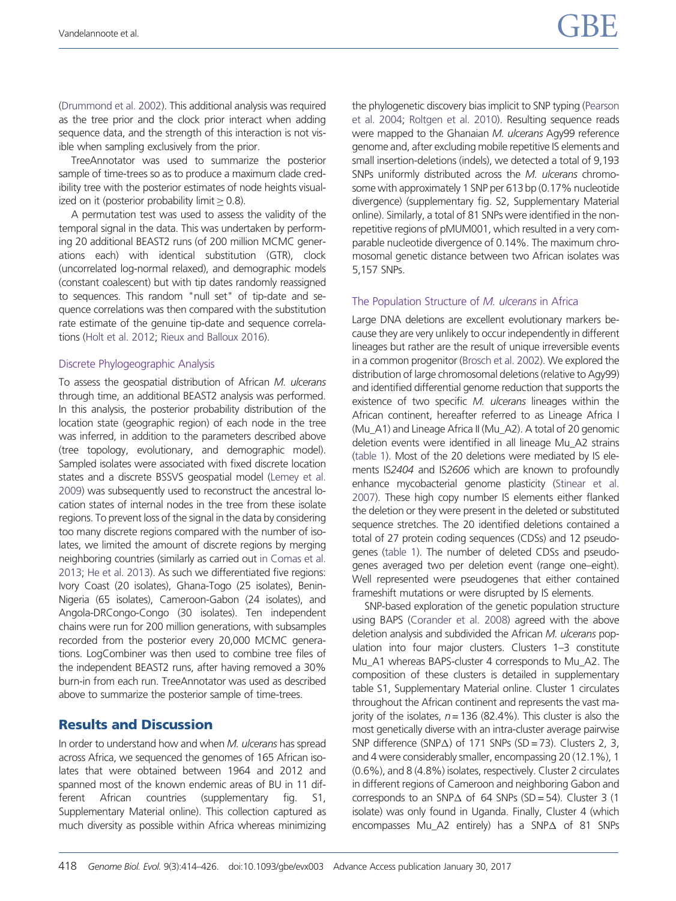[\(Drummond et al. 2002](#page-11-0)). This additional analysis was required as the tree prior and the clock prior interact when adding sequence data, and the strength of this interaction is not visible when sampling exclusively from the prior.

TreeAnnotator was used to summarize the posterior sample of time-trees so as to produce a maximum clade credibility tree with the posterior estimates of node heights visualized on it (posterior probability limit  $> 0.8$ ).

A permutation test was used to assess the validity of the temporal signal in the data. This was undertaken by performing 20 additional BEAST2 runs (of 200 million MCMC generations each) with identical substitution (GTR), clock (uncorrelated log-normal relaxed), and demographic models (constant coalescent) but with tip dates randomly reassigned to sequences. This random "null set" of tip-date and sequence correlations was then compared with the substitution rate estimate of the genuine tip-date and sequence correlations [\(Holt et al. 2012](#page-11-0); [Rieux and Balloux 2016\)](#page-12-0).

#### Discrete Phylogeographic Analysis

To assess the geospatial distribution of African M. ulcerans through time, an additional BEAST2 analysis was performed. In this analysis, the posterior probability distribution of the location state (geographic region) of each node in the tree was inferred, in addition to the parameters described above (tree topology, evolutionary, and demographic model). Sampled isolates were associated with fixed discrete location states and a discrete BSSVS geospatial model [\(Lemey et al.](#page-11-0) [2009\)](#page-11-0) was subsequently used to reconstruct the ancestral location states of internal nodes in the tree from these isolate regions. To prevent loss of the signal in the data by considering too many discrete regions compared with the number of isolates, we limited the amount of discrete regions by merging neighboring countries (similarly as carried out [in Comas et al.](#page-11-0) [2013;](#page-11-0) [He et al. 2013\)](#page-11-0). As such we differentiated five regions: Ivory Coast (20 isolates), Ghana-Togo (25 isolates), Benin-Nigeria (65 isolates), Cameroon-Gabon (24 isolates), and Angola-DRCongo-Congo (30 isolates). Ten independent chains were run for 200 million generations, with subsamples recorded from the posterior every 20,000 MCMC generations. LogCombiner was then used to combine tree files of the independent BEAST2 runs, after having removed a 30% burn-in from each run. TreeAnnotator was used as described above to summarize the posterior sample of time-trees.

## Results and Discussion

In order to understand how and when M. ulcerans has spread across Africa, we sequenced the genomes of 165 African isolates that were obtained between 1964 and 2012 and spanned most of the known endemic areas of BU in 11 different African countries (supplementary fig. S1, Supplementary Material online). This collection captured as much diversity as possible within Africa whereas minimizing the phylogenetic discovery bias implicit to SNP typing ([Pearson](#page-12-0) [et al. 2004](#page-12-0); [Roltgen et al. 2010\)](#page-12-0). Resulting sequence reads were mapped to the Ghanaian M. ulcerans Agy99 reference genome and, after excluding mobile repetitive IS elements and small insertion-deletions (indels), we detected a total of 9,193 SNPs uniformly distributed across the M. ulcerans chromosome with approximately 1 SNP per 613 bp (0.17% nucleotide divergence) (supplementary fig. S2, Supplementary Material online). Similarly, a total of 81 SNPs were identified in the nonrepetitive regions of pMUM001, which resulted in a very comparable nucleotide divergence of 0.14%. The maximum chromosomal genetic distance between two African isolates was 5,157 SNPs.

## The Population Structure of M. ulcerans in Africa

Large DNA deletions are excellent evolutionary markers because they are very unlikely to occur independently in different lineages but rather are the result of unique irreversible events in a common progenitor ([Brosch et al. 2002\)](#page-11-0). We explored the distribution of large chromosomal deletions (relative to Agy99) and identified differential genome reduction that supports the existence of two specific M. ulcerans lineages within the African continent, hereafter referred to as Lineage Africa I (Mu\_A1) and Lineage Africa II (Mu\_A2). A total of 20 genomic deletion events were identified in all lineage Mu\_A2 strains ([table 1\)](#page-5-0). Most of the 20 deletions were mediated by IS elements IS2404 and IS2606 which are known to profoundly enhance mycobacterial genome plasticity ([Stinear et al.](#page-12-0) [2007](#page-12-0)). These high copy number IS elements either flanked the deletion or they were present in the deleted or substituted sequence stretches. The 20 identified deletions contained a total of 27 protein coding sequences (CDSs) and 12 pseudogenes [\(table 1](#page-5-0)). The number of deleted CDSs and pseudogenes averaged two per deletion event (range one–eight). Well represented were pseudogenes that either contained frameshift mutations or were disrupted by IS elements.

SNP-based exploration of the genetic population structure using BAPS [\(Corander et al. 2008](#page-11-0)) agreed with the above deletion analysis and subdivided the African M. ulcerans population into four major clusters. Clusters 1–3 constitute Mu\_A1 whereas BAPS-cluster 4 corresponds to Mu\_A2. The composition of these clusters is detailed in supplementary table S1, Supplementary Material online. Cluster 1 circulates throughout the African continent and represents the vast majority of the isolates,  $n = 136$  (82.4%). This cluster is also the most genetically diverse with an intra-cluster average pairwise SNP difference (SNP $\Delta$ ) of 171 SNPs (SD = 73). Clusters 2, 3, and 4 were considerably smaller, encompassing 20 (12.1%), 1 (0.6%), and 8 (4.8%) isolates, respectively. Cluster 2 circulates in different regions of Cameroon and neighboring Gabon and corresponds to an SNP $\triangle$  of 64 SNPs (SD = 54). Cluster 3 (1 isolate) was only found in Uganda. Finally, Cluster 4 (which encompasses Mu\_A2 entirely) has a SNP $\Delta$  of 81 SNPs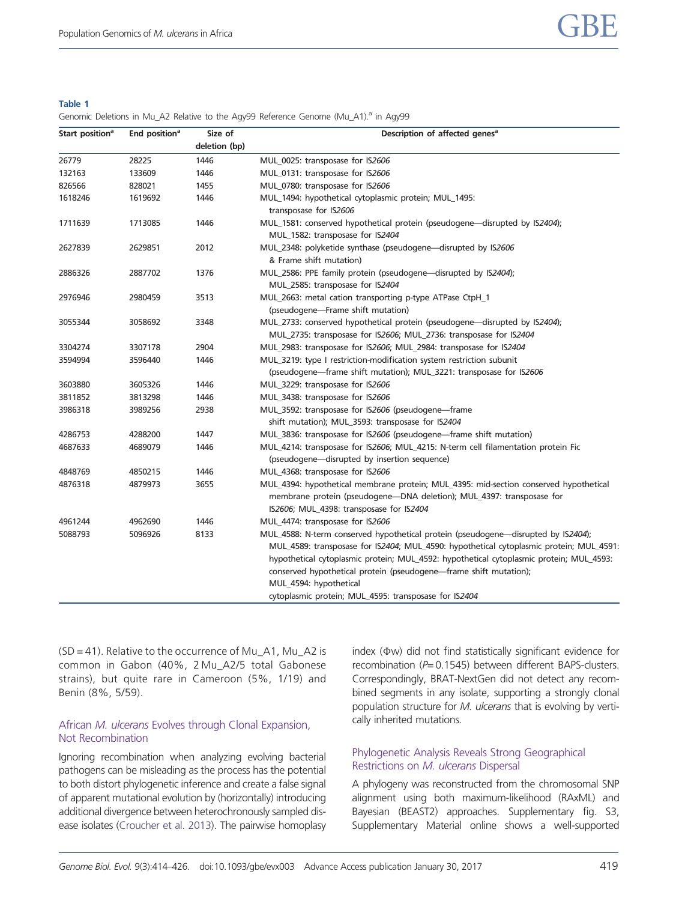#### <span id="page-5-0"></span>Table 1

Genomic Deletions in Mu A2 Relative to the Agy99 Reference Genome (Mu A1).<sup>a</sup> in Agy99

| Start position <sup>a</sup> | End position <sup>a</sup> | Size of       | Description of affected genes <sup>a</sup>                                                                                                                                                                                                              |  |  |
|-----------------------------|---------------------------|---------------|---------------------------------------------------------------------------------------------------------------------------------------------------------------------------------------------------------------------------------------------------------|--|--|
|                             |                           | deletion (bp) | MUL 0025: transposase for IS2606                                                                                                                                                                                                                        |  |  |
| 26779                       | 28225                     | 1446          |                                                                                                                                                                                                                                                         |  |  |
| 132163                      | 133609                    | 1446          | MUL_0131: transposase for IS2606                                                                                                                                                                                                                        |  |  |
| 826566                      | 828021                    | 1455          | MUL_0780: transposase for IS2606                                                                                                                                                                                                                        |  |  |
| 1618246                     | 1619692                   | 1446          | MUL_1494: hypothetical cytoplasmic protein; MUL_1495:                                                                                                                                                                                                   |  |  |
|                             |                           |               | transposase for IS2606                                                                                                                                                                                                                                  |  |  |
| 1711639                     | 1713085                   | 1446          | MUL_1581: conserved hypothetical protein (pseudogene-disrupted by IS2404);                                                                                                                                                                              |  |  |
|                             |                           |               | MUL_1582: transposase for IS2404                                                                                                                                                                                                                        |  |  |
| 2627839                     | 2629851                   | 2012          | MUL_2348: polyketide synthase (pseudogene-disrupted by IS2606<br>& Frame shift mutation)                                                                                                                                                                |  |  |
| 2886326                     | 2887702                   | 1376          | MUL_2586: PPE family protein (pseudogene-disrupted by IS2404);                                                                                                                                                                                          |  |  |
|                             |                           |               | MUL_2585: transposase for IS2404                                                                                                                                                                                                                        |  |  |
| 2976946                     | 2980459                   | 3513          | MUL_2663: metal cation transporting p-type ATPase CtpH_1                                                                                                                                                                                                |  |  |
|                             |                           |               | (pseudogene-Frame shift mutation)                                                                                                                                                                                                                       |  |  |
| 3055344                     | 3058692                   | 3348          | MUL_2733: conserved hypothetical protein (pseudogene-disrupted by IS2404);                                                                                                                                                                              |  |  |
|                             |                           |               | MUL_2735: transposase for IS2606; MUL_2736: transposase for IS2404                                                                                                                                                                                      |  |  |
| 3304274                     | 3307178                   | 2904          | MUL_2983: transposase for IS2606; MUL_2984: transposase for IS2404                                                                                                                                                                                      |  |  |
| 3594994                     | 3596440                   | 1446          | MUL_3219: type I restriction-modification system restriction subunit                                                                                                                                                                                    |  |  |
|                             |                           |               | (pseudogene-frame shift mutation); MUL_3221: transposase for IS2606                                                                                                                                                                                     |  |  |
| 3603880                     | 3605326                   | 1446          | MUL_3229: transposase for IS2606                                                                                                                                                                                                                        |  |  |
| 3811852                     | 3813298                   | 1446          | MUL_3438: transposase for IS2606                                                                                                                                                                                                                        |  |  |
| 3986318                     | 3989256                   | 2938          | MUL_3592: transposase for IS2606 (pseudogene-frame                                                                                                                                                                                                      |  |  |
|                             |                           |               | shift mutation); MUL_3593: transposase for IS2404                                                                                                                                                                                                       |  |  |
| 4286753                     | 4288200                   | 1447          | MUL_3836: transposase for IS2606 (pseudogene—frame shift mutation)                                                                                                                                                                                      |  |  |
| 4687633                     | 4689079                   | 1446          | MUL_4214: transposase for IS2606; MUL_4215: N-term cell filamentation protein Fic                                                                                                                                                                       |  |  |
|                             |                           |               | (pseudogene-disrupted by insertion sequence)                                                                                                                                                                                                            |  |  |
| 4848769                     | 4850215                   | 1446          | MUL_4368: transposase for IS2606                                                                                                                                                                                                                        |  |  |
| 4876318                     | 4879973                   | 3655          | MUL_4394: hypothetical membrane protein; MUL_4395: mid-section conserved hypothetical<br>membrane protein (pseudogene-DNA deletion); MUL_4397: transposase for<br>IS2606; MUL_4398: transposase for IS2404                                              |  |  |
| 4961244                     | 4962690                   | 1446          | MUL_4474: transposase for IS2606                                                                                                                                                                                                                        |  |  |
| 5088793                     | 5096926                   | 8133          | MUL_4588: N-term conserved hypothetical protein (pseudogene—disrupted by IS2404);                                                                                                                                                                       |  |  |
|                             |                           |               | MUL_4589: transposase for IS2404; MUL_4590: hypothetical cytoplasmic protein; MUL_4591:<br>hypothetical cytoplasmic protein; MUL_4592: hypothetical cytoplasmic protein; MUL_4593:<br>conserved hypothetical protein (pseudogene-frame shift mutation); |  |  |
|                             |                           |               | MUL 4594: hypothetical                                                                                                                                                                                                                                  |  |  |
|                             |                           |               | cytoplasmic protein; MUL_4595: transposase for IS2404                                                                                                                                                                                                   |  |  |

 $(SD = 41)$ . Relative to the occurrence of Mu $A1$ , Mu $A2$  is common in Gabon (40%, 2 Mu\_A2/5 total Gabonese strains), but quite rare in Cameroon (5%, 1/19) and Benin (8%, 5/59).

#### African M. ulcerans Evolves through Clonal Expansion, Not Recombination

Ignoring recombination when analyzing evolving bacterial pathogens can be misleading as the process has the potential to both distort phylogenetic inference and create a false signal of apparent mutational evolution by (horizontally) introducing additional divergence between heterochronously sampled disease isolates [\(Croucher et al. 2013](#page-11-0)). The pairwise homoplasy

index ( $\Phi$ w) did not find statistically significant evidence for recombination  $(P= 0.1545)$  between different BAPS-clusters. Correspondingly, BRAT-NextGen did not detect any recombined segments in any isolate, supporting a strongly clonal population structure for M. ulcerans that is evolving by vertically inherited mutations.

## Phylogenetic Analysis Reveals Strong Geographical Restrictions on M. ulcerans Dispersal

A phylogeny was reconstructed from the chromosomal SNP alignment using both maximum-likelihood (RAxML) and Bayesian (BEAST2) approaches. Supplementary fig. S3, Supplementary Material online shows a well-supported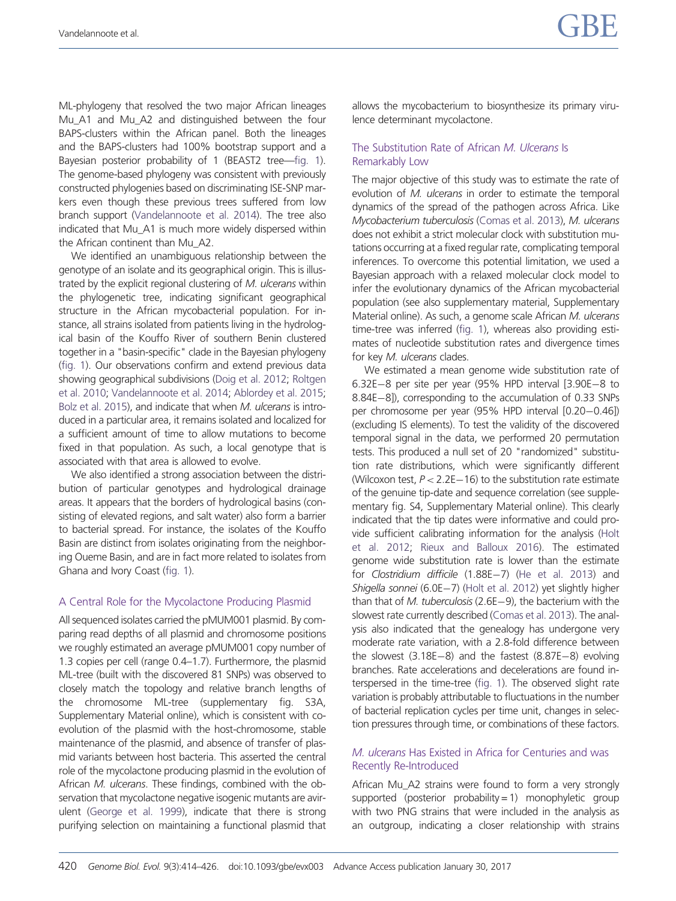ML-phylogeny that resolved the two major African lineages Mu\_A1 and Mu\_A2 and distinguished between the four BAPS-clusters within the African panel. Both the lineages and the BAPS-clusters had 100% bootstrap support and a Bayesian posterior probability of 1 (BEAST2 tree—[fig. 1](#page-7-0)). The genome-based phylogeny was consistent with previously constructed phylogenies based on discriminating ISE-SNP markers even though these previous trees suffered from low branch support ([Vandelannoote et al. 2014](#page-12-0)). The tree also indicated that Mu\_A1 is much more widely dispersed within the African continent than Mu\_A2.

We identified an unambiguous relationship between the genotype of an isolate and its geographical origin. This is illustrated by the explicit regional clustering of M. ulcerans within the phylogenetic tree, indicating significant geographical structure in the African mycobacterial population. For instance, all strains isolated from patients living in the hydrological basin of the Kouffo River of southern Benin clustered together in a "basin-specific" clade in the Bayesian phylogeny [\(fig. 1](#page-7-0)). Our observations confirm and extend previous data showing geographical subdivisions ([Doig et al. 2012;](#page-11-0) [Roltgen](#page-12-0) [et al. 2010](#page-12-0); [Vandelannoote et al. 2014](#page-12-0); [Ablordey et al. 2015;](#page-11-0) [Bolz et al. 2015](#page-11-0)), and indicate that when M. ulcerans is introduced in a particular area, it remains isolated and localized for a sufficient amount of time to allow mutations to become fixed in that population. As such, a local genotype that is associated with that area is allowed to evolve.

We also identified a strong association between the distribution of particular genotypes and hydrological drainage areas. It appears that the borders of hydrological basins (consisting of elevated regions, and salt water) also form a barrier to bacterial spread. For instance, the isolates of the Kouffo Basin are distinct from isolates originating from the neighboring Oueme Basin, and are in fact more related to isolates from Ghana and Ivory Coast [\(fig. 1](#page-7-0)).

#### A Central Role for the Mycolactone Producing Plasmid

All sequenced isolates carried the pMUM001 plasmid. By comparing read depths of all plasmid and chromosome positions we roughly estimated an average pMUM001 copy number of 1.3 copies per cell (range 0.4–1.7). Furthermore, the plasmid ML-tree (built with the discovered 81 SNPs) was observed to closely match the topology and relative branch lengths of the chromosome ML-tree (supplementary fig. S3A, Supplementary Material online), which is consistent with coevolution of the plasmid with the host-chromosome, stable maintenance of the plasmid, and absence of transfer of plasmid variants between host bacteria. This asserted the central role of the mycolactone producing plasmid in the evolution of African M. ulcerans. These findings, combined with the observation that mycolactone negative isogenic mutants are avirulent [\(George et al. 1999](#page-11-0)), indicate that there is strong purifying selection on maintaining a functional plasmid that allows the mycobacterium to biosynthesize its primary virulence determinant mycolactone.

#### The Substitution Rate of African M. Ulcerans Is Remarkably Low

The major objective of this study was to estimate the rate of evolution of M. ulcerans in order to estimate the temporal dynamics of the spread of the pathogen across Africa. Like Mycobacterium tuberculosis [\(Comas et al. 2013\)](#page-11-0), M. ulcerans does not exhibit a strict molecular clock with substitution mutations occurring at a fixed regular rate, complicating temporal inferences. To overcome this potential limitation, we used a Bayesian approach with a relaxed molecular clock model to infer the evolutionary dynamics of the African mycobacterial population (see also supplementary material, Supplementary Material online). As such, a genome scale African M. ulcerans time-tree was inferred ([fig. 1](#page-7-0)), whereas also providing estimates of nucleotide substitution rates and divergence times for key M. ulcerans clades.

We estimated a mean genome wide substitution rate of 6.32E-8 per site per year (95% HPD interval  $[3.90E-8$  to 8.84E-8]), corresponding to the accumulation of 0.33 SNPs per chromosome per year (95% HPD interval [0.20-0.46]) (excluding IS elements). To test the validity of the discovered temporal signal in the data, we performed 20 permutation tests. This produced a null set of 20 "randomized" substitution rate distributions, which were significantly different (Wilcoxon test,  $P < 2.2E-16$ ) to the substitution rate estimate of the genuine tip-date and sequence correlation (see supplementary fig. S4, Supplementary Material online). This clearly indicated that the tip dates were informative and could provide sufficient calibrating information for the analysis [\(Holt](#page-11-0) [et al. 2012](#page-11-0); [Rieux and Balloux 2016\)](#page-12-0). The estimated genome wide substitution rate is lower than the estimate for Clostridium difficile (1.88E-7) [\(He et al. 2013\)](#page-11-0) and Shigella sonnei (6.0E-7) [\(Holt et al. 2012](#page-11-0)) yet slightly higher than that of M. tuberculosis  $(2.6E-9)$ , the bacterium with the slowest rate currently described [\(Comas et al. 2013\)](#page-11-0). The analysis also indicated that the genealogy has undergone very moderate rate variation, with a 2.8-fold difference between the slowest  $(3.18E-8)$  and the fastest  $(8.87E-8)$  evolving branches. Rate accelerations and decelerations are found interspersed in the time-tree [\(fig. 1](#page-7-0)). The observed slight rate variation is probably attributable to fluctuations in the number of bacterial replication cycles per time unit, changes in selection pressures through time, or combinations of these factors.

#### M. ulcerans Has Existed in Africa for Centuries and was Recently Re-Introduced

African Mu\_A2 strains were found to form a very strongly supported (posterior probability  $= 1$ ) monophyletic group with two PNG strains that were included in the analysis as an outgroup, indicating a closer relationship with strains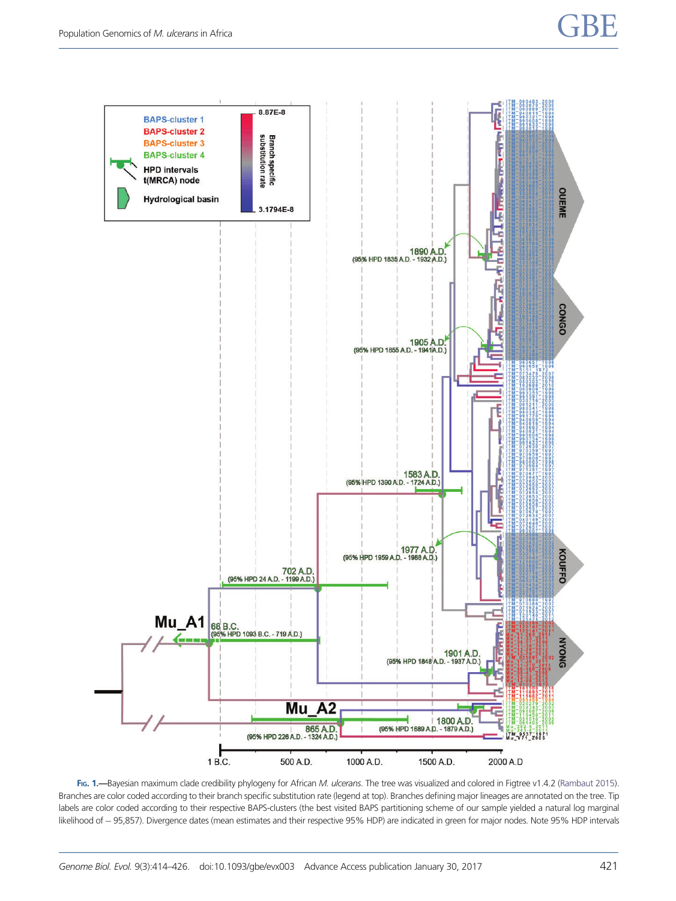<span id="page-7-0"></span>

FIG. 1.—Bayesian maximum clade credibility phylogeny for African M. ulcerans. The tree was visualized and colored in Figtree v1.4.2 ([Rambaut 2015\)](#page-12-0). Branches are color coded according to their branch specific substitution rate (legend at top). Branches defining major lineages are annotated on the tree. Tip labels are color coded according to their respective BAPS-clusters (the best visited BAPS partitioning scheme of our sample yielded a natural log marginal likelihood of - 95,857). Divergence dates (mean estimates and their respective 95% HDP) are indicated in green for major nodes. Note 95% HDP intervals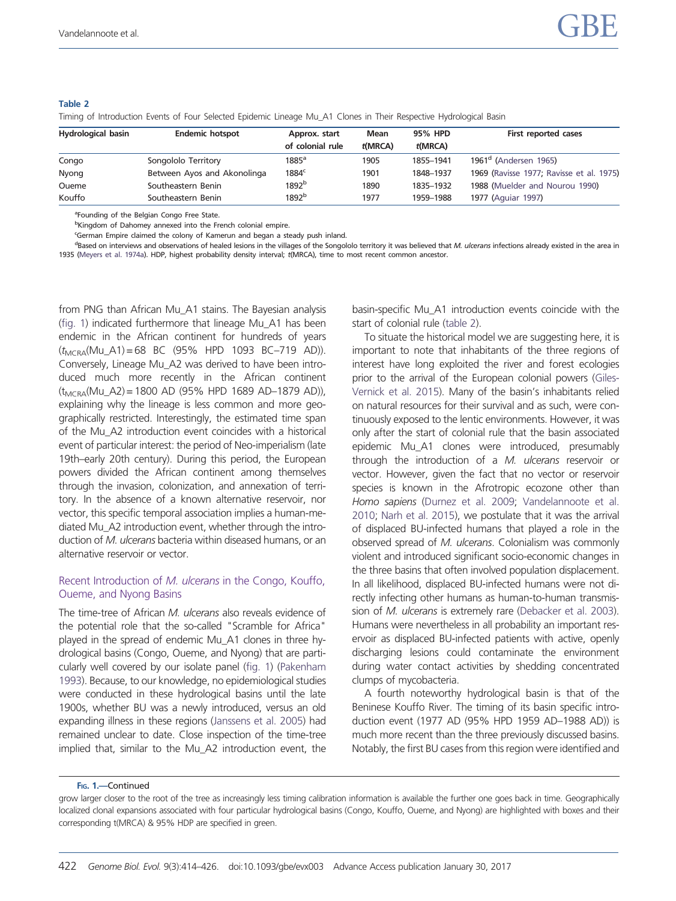#### Table 2

Timing of Introduction Events of Four Selected Epidemic Lineage Mu\_A1 Clones in Their Respective Hydrological Basin

| <b>Hydrological basin</b> | <b>Endemic hotspot</b>      | Approx. start     | Mean    | 95% HPD   | First reported cases                     |
|---------------------------|-----------------------------|-------------------|---------|-----------|------------------------------------------|
|                           |                             | of colonial rule  | t(MRCA) | t(MRCA)   |                                          |
| Congo                     | Songololo Territory         | $1885^{\circ}$    | 1905    | 1855-1941 | $1961d$ (Andersen 1965)                  |
| Nyong                     | Between Ayos and Akonolinga | $1884^c$          | 1901    | 1848-1937 | 1969 (Ravisse 1977; Ravisse et al. 1975) |
| Oueme                     | Southeastern Benin          | 1892 <sup>b</sup> | 1890    | 1835-1932 | 1988 (Muelder and Nourou 1990)           |
| Kouffo                    | Southeastern Benin          | 1892 <sup>b</sup> | 1977    | 1959-1988 | 1977 (Aquiar 1997)                       |

<sup>a</sup>Founding of the Belgian Congo Free State.

<sup>b</sup>Kingdom of Dahomey annexed into the French colonial empire.

'German Empire claimed the colony of Kamerun and began a steady push inland.

<sup>d</sup>Based on interviews and observations of healed lesions in the villages of the Songololo territory it was believed that M. ulcerans infections already existed in the area in 1935 [\(Meyers et al. 1974a\)](#page-12-0). HDP, highest probability density interval; t(MRCA), time to most recent common ancestor.

from PNG than African Mu\_A1 stains. The Bayesian analysis [\(fig. 1](#page-7-0)) indicated furthermore that lineage Mu\_A1 has been endemic in the African continent for hundreds of years  $(t_{MCRA}(Mu_A1) = 68$  BC (95% HPD 1093 BC-719 AD)). Conversely, Lineage Mu\_A2 was derived to have been introduced much more recently in the African continent  $(t_{MCRA}(Mu A2) = 1800 AD (95\% HPD 1689 AD-1879 AD)),$ explaining why the lineage is less common and more geographically restricted. Interestingly, the estimated time span of the Mu\_A2 introduction event coincides with a historical event of particular interest: the period of Neo-imperialism (late 19th–early 20th century). During this period, the European powers divided the African continent among themselves through the invasion, colonization, and annexation of territory. In the absence of a known alternative reservoir, nor vector, this specific temporal association implies a human-mediated Mu\_A2 introduction event, whether through the introduction of M. ulcerans bacteria within diseased humans, or an alternative reservoir or vector.

#### Recent Introduction of M. ulcerans in the Congo, Kouffo, Oueme, and Nyong Basins

The time-tree of African M. ulcerans also reveals evidence of the potential role that the so-called "Scramble for Africa" played in the spread of endemic Mu\_A1 clones in three hydrological basins (Congo, Oueme, and Nyong) that are particularly well covered by our isolate panel [\(fig. 1](#page-7-0)) [\(Pakenham](#page-12-0) [1993\)](#page-12-0). Because, to our knowledge, no epidemiological studies were conducted in these hydrological basins until the late 1900s, whether BU was a newly introduced, versus an old expanding illness in these regions [\(Janssens et al. 2005\)](#page-11-0) had remained unclear to date. Close inspection of the time-tree implied that, similar to the Mu\_A2 introduction event, the basin-specific Mu\_A1 introduction events coincide with the start of colonial rule (table 2).

To situate the historical model we are suggesting here, it is important to note that inhabitants of the three regions of interest have long exploited the river and forest ecologies prior to the arrival of the European colonial powers [\(Giles-](#page-11-0)[Vernick et al. 2015\)](#page-11-0). Many of the basin's inhabitants relied on natural resources for their survival and as such, were continuously exposed to the lentic environments. However, it was only after the start of colonial rule that the basin associated epidemic Mu\_A1 clones were introduced, presumably through the introduction of a M. ulcerans reservoir or vector. However, given the fact that no vector or reservoir species is known in the Afrotropic ecozone other than Homo sapiens [\(Durnez et al. 2009](#page-11-0); [Vandelannoote et al.](#page-12-0) [2010](#page-12-0); [Narh et al. 2015\)](#page-12-0), we postulate that it was the arrival of displaced BU-infected humans that played a role in the observed spread of M. ulcerans. Colonialism was commonly violent and introduced significant socio-economic changes in the three basins that often involved population displacement. In all likelihood, displaced BU-infected humans were not directly infecting other humans as human-to-human transmission of *M. ulcerans* is extremely rare [\(Debacker et al. 2003\)](#page-11-0). Humans were nevertheless in all probability an important reservoir as displaced BU-infected patients with active, openly discharging lesions could contaminate the environment during water contact activities by shedding concentrated clumps of mycobacteria.

A fourth noteworthy hydrological basin is that of the Beninese Kouffo River. The timing of its basin specific introduction event (1977 AD (95% HPD 1959 AD–1988 AD)) is much more recent than the three previously discussed basins. Notably, the first BU cases from this region were identified and

FIG. 1.—Continued

grow larger closer to the root of the tree as increasingly less timing calibration information is available the further one goes back in time. Geographically localized clonal expansions associated with four particular hydrological basins (Congo, Kouffo, Oueme, and Nyong) are highlighted with boxes and their corresponding t(MRCA) & 95% HDP are specified in green.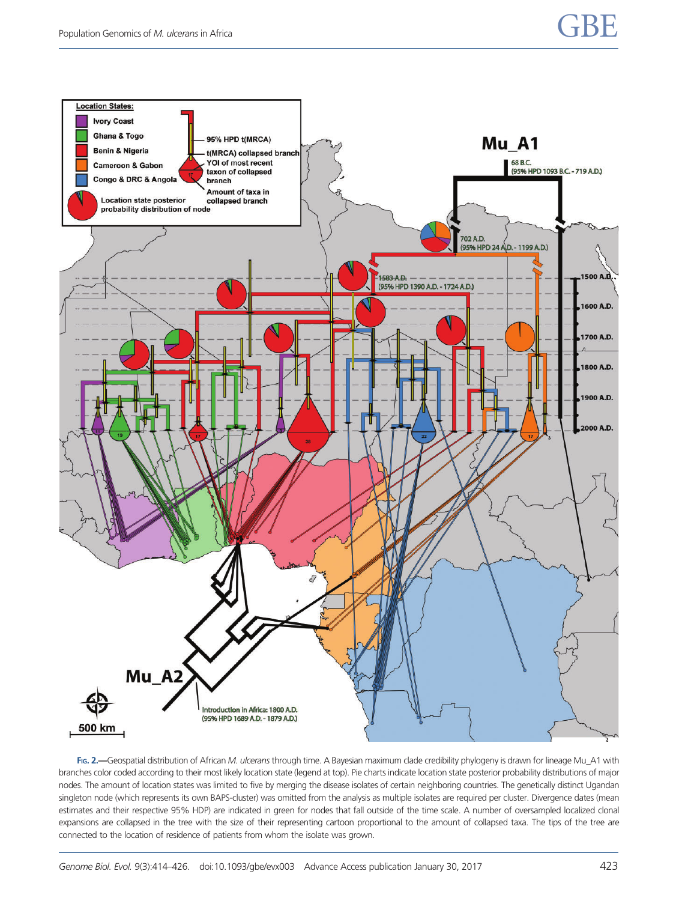<span id="page-9-0"></span>

FIG. 2.—Geospatial distribution of African M. ulcerans through time. A Bayesian maximum clade credibility phylogeny is drawn for lineage Mu\_A1 with branches color coded according to their most likely location state (legend at top). Pie charts indicate location state posterior probability distributions of major nodes. The amount of location states was limited to five by merging the disease isolates of certain neighboring countries. The genetically distinct Ugandan singleton node (which represents its own BAPS-cluster) was omitted from the analysis as multiple isolates are required per cluster. Divergence dates (mean estimates and their respective 95% HDP) are indicated in green for nodes that fall outside of the time scale. A number of oversampled localized clonal expansions are collapsed in the tree with the size of their representing cartoon proportional to the amount of collapsed taxa. The tips of the tree are connected to the location of residence of patients from whom the isolate was grown.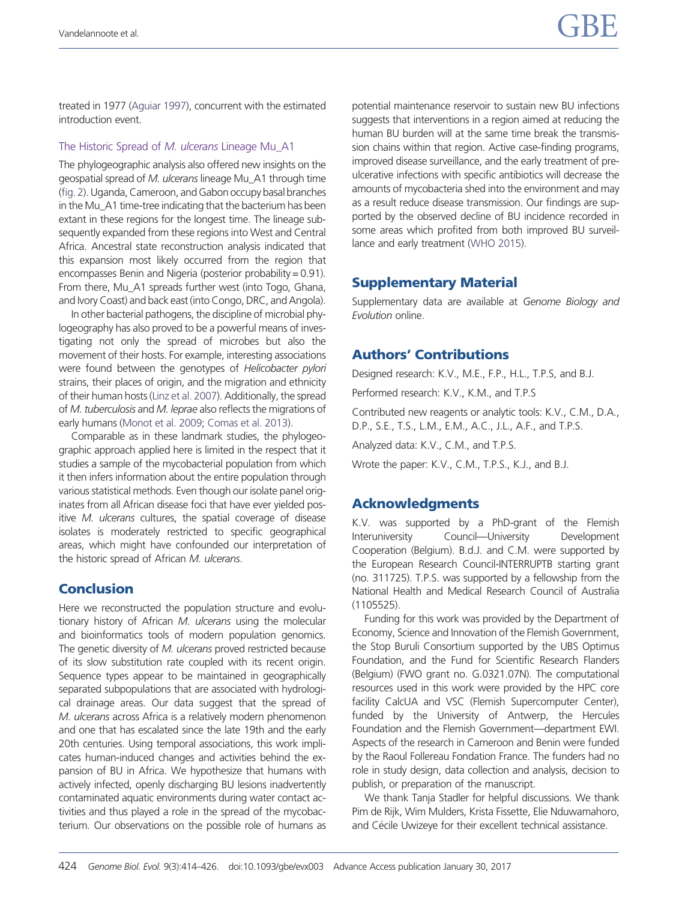treated in 1977 [\(Aguiar 1997](#page-11-0)), concurrent with the estimated introduction event.

#### The Historic Spread of M. ulcerans Lineage Mu\_A1

The phylogeographic analysis also offered new insights on the geospatial spread of M. ulcerans lineage Mu\_A1 through time [\(fig.2](#page-9-0)). Uganda, Cameroon, and Gabon occupybasal branches in the Mu A1 time-tree indicating that the bacterium has been extant in these regions for the longest time. The lineage subsequently expanded from these regions into West and Central Africa. Ancestral state reconstruction analysis indicated that this expansion most likely occurred from the region that encompasses Benin and Nigeria (posterior probability = 0.91). From there, Mu\_A1 spreads further west (into Togo, Ghana, and Ivory Coast) and back east (into Congo, DRC, and Angola).

In other bacterial pathogens, the discipline of microbial phylogeography has also proved to be a powerful means of investigating not only the spread of microbes but also the movement of their hosts. For example, interesting associations were found between the genotypes of Helicobacter pylori strains, their places of origin, and the migration and ethnicity of their human hosts [\(Linz et al. 2007](#page-11-0)). Additionally, the spread of M. tuberculosis and M. leprae also reflects the migrations of early humans [\(Monot et al. 2009;](#page-12-0) [Comas et al. 2013](#page-11-0)).

Comparable as in these landmark studies, the phylogeographic approach applied here is limited in the respect that it studies a sample of the mycobacterial population from which it then infers information about the entire population through various statistical methods. Even though our isolate panel originates from all African disease foci that have ever yielded positive M. ulcerans cultures, the spatial coverage of disease isolates is moderately restricted to specific geographical areas, which might have confounded our interpretation of the historic spread of African M. ulcerans.

## **Conclusion**

Here we reconstructed the population structure and evolutionary history of African M. ulcerans using the molecular and bioinformatics tools of modern population genomics. The genetic diversity of M. ulcerans proved restricted because of its slow substitution rate coupled with its recent origin. Sequence types appear to be maintained in geographically separated subpopulations that are associated with hydrological drainage areas. Our data suggest that the spread of M. ulcerans across Africa is a relatively modern phenomenon and one that has escalated since the late 19th and the early 20th centuries. Using temporal associations, this work implicates human-induced changes and activities behind the expansion of BU in Africa. We hypothesize that humans with actively infected, openly discharging BU lesions inadvertently contaminated aquatic environments during water contact activities and thus played a role in the spread of the mycobacterium. Our observations on the possible role of humans as

potential maintenance reservoir to sustain new BU infections suggests that interventions in a region aimed at reducing the human BU burden will at the same time break the transmission chains within that region. Active case-finding programs, improved disease surveillance, and the early treatment of preulcerative infections with specific antibiotics will decrease the amounts of mycobacteria shed into the environment and may as a result reduce disease transmission. Our findings are supported by the observed decline of BU incidence recorded in some areas which profited from both improved BU surveillance and early treatment ([WHO 2015](#page-12-0)).

## Supplementary Material

Supplementary data are available at Genome Biology and Evolution online.

## Authors' Contributions

Designed research: K.V., M.E., F.P., H.L., T.P.S, and B.J.

Performed research: K.V., K.M., and T.P.S

Contributed new reagents or analytic tools: K.V., C.M., D.A., D.P., S.E., T.S., L.M., E.M., A.C., J.L., A.F., and T.P.S.

Analyzed data: K.V., C.M., and T.P.S.

Wrote the paper: K.V., C.M., T.P.S., K.J., and B.J.

## Acknowledgments

K.V. was supported by a PhD-grant of the Flemish Interuniversity Council—University Development Cooperation (Belgium). B.d.J. and C.M. were supported by the European Research Council-INTERRUPTB starting grant (no. 311725). T.P.S. was supported by a fellowship from the National Health and Medical Research Council of Australia (1105525).

Funding for this work was provided by the Department of Economy, Science and Innovation of the Flemish Government, the Stop Buruli Consortium supported by the UBS Optimus Foundation, and the Fund for Scientific Research Flanders (Belgium) (FWO grant no. G.0321.07N). The computational resources used in this work were provided by the HPC core facility CalcUA and VSC (Flemish Supercomputer Center), funded by the University of Antwerp, the Hercules Foundation and the Flemish Government—department EWI. Aspects of the research in Cameroon and Benin were funded by the Raoul Follereau Fondation France. The funders had no role in study design, data collection and analysis, decision to publish, or preparation of the manuscript.

We thank Tanja Stadler for helpful discussions. We thank Pim de Rijk, Wim Mulders, Krista Fissette, Elie Nduwamahoro, and Cécile Uwizeye for their excellent technical assistance.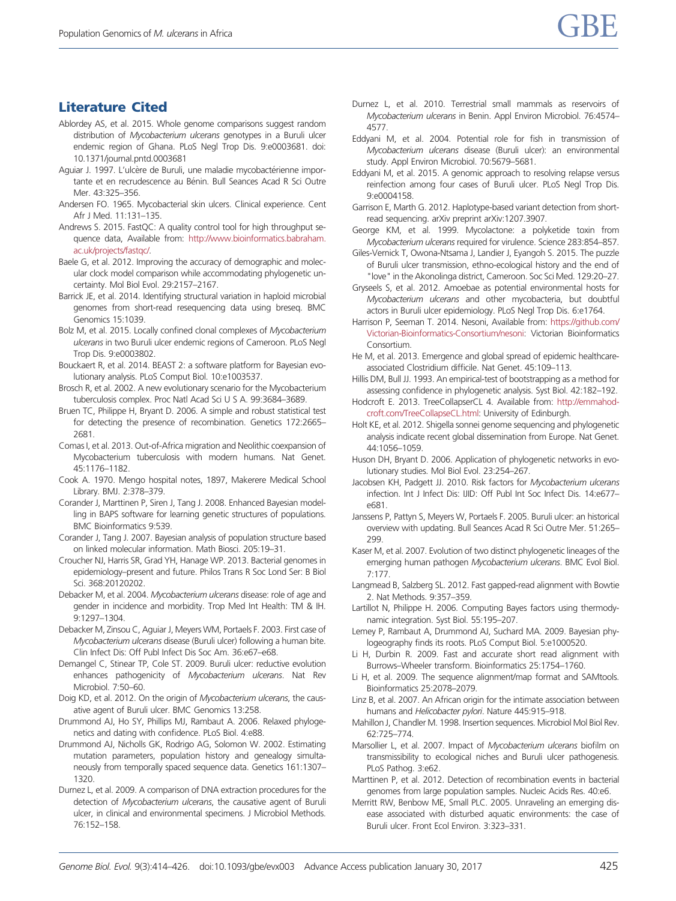# <span id="page-11-0"></span>Literature Cited

- Ablordey AS, et al. 2015. Whole genome comparisons suggest random distribution of Mycobacterium ulcerans genotypes in a Buruli ulcer endemic region of Ghana. PLoS Negl Trop Dis. 9:e0003681. doi: 10.1371/journal.pntd.0003681
- Aguiar J. 1997. L'ulcère de Buruli, une maladie mycobactérienne importante et en recrudescence au Bénin. Bull Seances Acad R Sci Outre Mer. 43:325–356.
- Andersen FO. 1965. Mycobacterial skin ulcers. Clinical experience. Cent Afr J Med. 11:131–135.
- Andrews S. 2015. FastQC: A quality control tool for high throughput sequence data, Available from: [http://www.bioinformatics.babraham.](http://www.bioinformatics.babraham.ac.uk/projects/fastqc/) [ac.uk/projects/fastqc/](http://www.bioinformatics.babraham.ac.uk/projects/fastqc/).
- Baele G, et al. 2012. Improving the accuracy of demographic and molecular clock model comparison while accommodating phylogenetic uncertainty. Mol Biol Evol. 29:2157–2167.
- Barrick JE, et al. 2014. Identifying structural variation in haploid microbial genomes from short-read resequencing data using breseq. BMC Genomics 15:1039.
- Bolz M, et al. 2015. Locally confined clonal complexes of Mycobacterium ulcerans in two Buruli ulcer endemic regions of Cameroon. PLoS Negl Trop Dis. 9:e0003802.
- Bouckaert R, et al. 2014. BEAST 2: a software platform for Bayesian evolutionary analysis. PLoS Comput Biol. 10:e1003537.
- Brosch R, et al. 2002. A new evolutionary scenario for the Mycobacterium tuberculosis complex. Proc Natl Acad Sci U S A. 99:3684–3689.
- Bruen TC, Philippe H, Bryant D. 2006. A simple and robust statistical test for detecting the presence of recombination. Genetics 172:2665– 2681.
- Comas I, et al. 2013. Out-of-Africa migration and Neolithic coexpansion of Mycobacterium tuberculosis with modern humans. Nat Genet. 45:1176–1182.
- Cook A. 1970. Mengo hospital notes, 1897, Makerere Medical School Library. BMJ. 2:378–379.
- Corander J, Marttinen P, Siren J, Tang J. 2008. Enhanced Bayesian modelling in BAPS software for learning genetic structures of populations. BMC Bioinformatics 9:539.
- Corander J, Tang J. 2007. Bayesian analysis of population structure based on linked molecular information. Math Biosci. 205:19–31.
- Croucher NJ, Harris SR, Grad YH, Hanage WP. 2013. Bacterial genomes in epidemiology–present and future. Philos Trans R Soc Lond Ser: B Biol Sci. 368:20120202.
- Debacker M, et al. 2004. Mycobacterium ulcerans disease: role of age and gender in incidence and morbidity. Trop Med Int Health: TM & IH. 9:1297–1304.
- Debacker M, Zinsou C, Aguiar J, Meyers WM, Portaels F. 2003. First case of Mycobacterium ulcerans disease (Buruli ulcer) following a human bite. Clin Infect Dis: Off Publ Infect Dis Soc Am. 36:e67–e68.
- Demangel C, Stinear TP, Cole ST. 2009. Buruli ulcer: reductive evolution enhances pathogenicity of Mycobacterium ulcerans. Nat Rev Microbiol. 7:50–60.
- Doig KD, et al. 2012. On the origin of Mycobacterium ulcerans, the causative agent of Buruli ulcer. BMC Genomics 13:258.
- Drummond AJ, Ho SY, Phillips MJ, Rambaut A. 2006. Relaxed phylogenetics and dating with confidence. PLoS Biol. 4:e88.
- Drummond AJ, Nicholls GK, Rodrigo AG, Solomon W. 2002. Estimating mutation parameters, population history and genealogy simultaneously from temporally spaced sequence data. Genetics 161:1307– 1320.
- Durnez L, et al. 2009. A comparison of DNA extraction procedures for the detection of Mycobacterium ulcerans, the causative agent of Buruli ulcer, in clinical and environmental specimens. J Microbiol Methods. 76:152–158.
- Durnez L, et al. 2010. Terrestrial small mammals as reservoirs of Mycobacterium ulcerans in Benin. Appl Environ Microbiol. 76:4574– 4577.
- Eddyani M, et al. 2004. Potential role for fish in transmission of Mycobacterium ulcerans disease (Buruli ulcer): an environmental study. Appl Environ Microbiol. 70:5679–5681.
- Eddyani M, et al. 2015. A genomic approach to resolving relapse versus reinfection among four cases of Buruli ulcer. PLoS Negl Trop Dis. 9:e0004158.
- Garrison E, Marth G. 2012. Haplotype-based variant detection from shortread sequencing. arXiv preprint arXiv:1207.3907.
- George KM, et al. 1999. Mycolactone: a polyketide toxin from Mycobacterium ulcerans required for virulence. Science 283:854–857.
- Giles-Vernick T, Owona-Ntsama J, Landier J, Eyangoh S. 2015. The puzzle of Buruli ulcer transmission, ethno-ecological history and the end of "love" in the Akonolinga district, Cameroon. Soc Sci Med. 129:20–27.
- Gryseels S, et al. 2012. Amoebae as potential environmental hosts for Mycobacterium ulcerans and other mycobacteria, but doubtful actors in Buruli ulcer epidemiology. PLoS Negl Trop Dis. 6:e1764.
- Harrison P, Seeman T. 2014. Nesoni, Available from: [https://github.com/](https://github.com/Victorian-Bioinformatics-Consortium/nesoni) [Victorian-Bioinformatics-Consortium/nesoni:](https://github.com/Victorian-Bioinformatics-Consortium/nesoni) Victorian Bioinformatics Consortium.
- He M, et al. 2013. Emergence and global spread of epidemic healthcareassociated Clostridium difficile. Nat Genet. 45:109–113.
- Hillis DM, Bull JJ. 1993. An empirical-test of bootstrapping as a method for assessing confidence in phylogenetic analysis. Syst Biol. 42:182–192.
- Hodcroft E. 2013. TreeCollapserCL 4. Available from: [http://emmahod](http://emmahodcroft.com/TreeCollapseCL.html)[croft.com/TreeCollapseCL.html:](http://emmahodcroft.com/TreeCollapseCL.html) University of Edinburgh.
- Holt KE, et al. 2012. Shigella sonnei genome sequencing and phylogenetic analysis indicate recent global dissemination from Europe. Nat Genet. 44:1056–1059.
- Huson DH, Bryant D. 2006. Application of phylogenetic networks in evolutionary studies. Mol Biol Evol. 23:254–267.
- Jacobsen KH, Padgett JJ. 2010. Risk factors for Mycobacterium ulcerans infection. Int J Infect Dis: IJID: Off Publ Int Soc Infect Dis. 14:e677– e681.
- Janssens P, Pattyn S, Meyers W, Portaels F. 2005. Buruli ulcer: an historical overview with updating. Bull Seances Acad R Sci Outre Mer. 51:265– 299.
- Kaser M, et al. 2007. Evolution of two distinct phylogenetic lineages of the emerging human pathogen Mycobacterium ulcerans. BMC Evol Biol. 7:177.
- Langmead B, Salzberg SL. 2012. Fast gapped-read alignment with Bowtie 2. Nat Methods. 9:357–359.
- Lartillot N, Philippe H. 2006. Computing Bayes factors using thermodynamic integration. Syst Biol. 55:195–207.
- Lemey P, Rambaut A, Drummond AJ, Suchard MA. 2009. Bayesian phylogeography finds its roots. PLoS Comput Biol. 5:e1000520.
- Li H, Durbin R. 2009. Fast and accurate short read alignment with Burrows–Wheeler transform. Bioinformatics 25:1754–1760.
- Li H, et al. 2009. The sequence alignment/map format and SAMtools. Bioinformatics 25:2078–2079.
- Linz B, et al. 2007. An African origin for the intimate association between humans and Helicobacter pylori. Nature 445:915–918.
- Mahillon J, Chandler M. 1998. Insertion sequences. Microbiol Mol Biol Rev. 62:725–774.
- Marsollier L, et al. 2007. Impact of Mycobacterium ulcerans biofilm on transmissibility to ecological niches and Buruli ulcer pathogenesis. PLoS Pathog. 3:e62.
- Marttinen P, et al. 2012. Detection of recombination events in bacterial genomes from large population samples. Nucleic Acids Res. 40:e6.
- Merritt RW, Benbow ME, Small PLC. 2005. Unraveling an emerging disease associated with disturbed aquatic environments: the case of Buruli ulcer. Front Ecol Environ. 3:323–331.